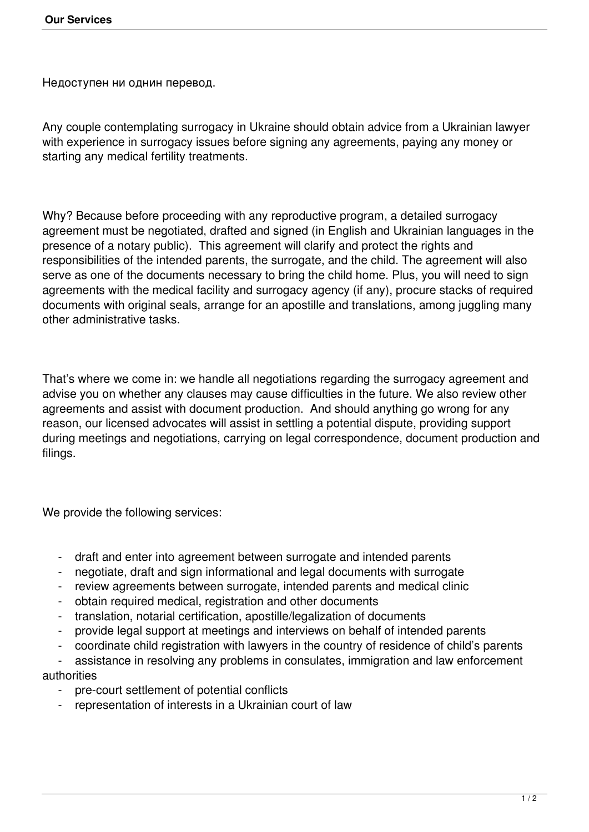Недоступен ни однин перевод.

Any couple contemplating surrogacy in Ukraine should obtain advice from a Ukrainian lawyer with experience in surrogacy issues before signing any agreements, paying any money or starting any medical fertility treatments.

Why? Because before proceeding with any reproductive program, a detailed surrogacy agreement must be negotiated, drafted and signed (in English and Ukrainian languages in the presence of a notary public). This agreement will clarify and protect the rights and responsibilities of the intended parents, the surrogate, and the child. The agreement will also serve as one of the documents necessary to bring the child home. Plus, you will need to sign agreements with the medical facility and surrogacy agency (if any), procure stacks of required documents with original seals, arrange for an apostille and translations, among juggling many other administrative tasks.

That's where we come in: we handle all negotiations regarding the surrogacy agreement and advise you on whether any clauses may cause difficulties in the future. We also review other agreements and assist with document production. And should anything go wrong for any reason, our licensed advocates will assist in settling a potential dispute, providing support during meetings and negotiations, carrying on legal correspondence, document production and filings.

We provide the following services:

- draft and enter into agreement between surrogate and intended parents
- negotiate, draft and sign informational and legal documents with surrogate
- review agreements between surrogate, intended parents and medical clinic
- obtain required medical, registration and other documents
- translation, notarial certification, apostille/legalization of documents
- provide legal support at meetings and interviews on behalf of intended parents
- coordinate child registration with lawyers in the country of residence of child's parents
- assistance in resolving any problems in consulates, immigration and law enforcement

## authorities

- pre-court settlement of potential conflicts
- representation of interests in a Ukrainian court of law